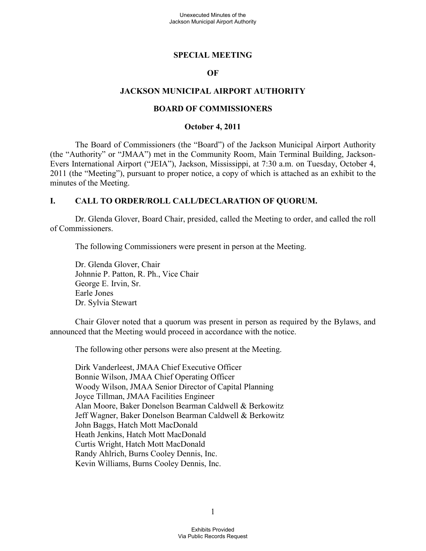#### **SPECIAL MEETING**

#### **OF**

#### **JACKSON MUNICIPAL AIRPORT AUTHORITY**

#### **BOARD OF COMMISSIONERS**

#### **October 4, 2011**

The Board of Commissioners (the "Board") of the Jackson Municipal Airport Authority (the "Authority" or "JMAA") met in the Community Room, Main Terminal Building, Jackson-Evers International Airport ("JEIA"), Jackson, Mississippi, at 7:30 a.m. on Tuesday, October 4, 2011 (the "Meeting"), pursuant to proper notice, a copy of which is attached as an exhibit to the minutes of the Meeting.

#### **I. CALL TO ORDER/ROLL CALL/DECLARATION OF QUORUM.**

Dr. Glenda Glover, Board Chair, presided, called the Meeting to order, and called the roll of Commissioners.

The following Commissioners were present in person at the Meeting.

Dr. Glenda Glover, Chair Johnnie P. Patton, R. Ph., Vice Chair George E. Irvin, Sr. Earle Jones Dr. Sylvia Stewart

Chair Glover noted that a quorum was present in person as required by the Bylaws, and announced that the Meeting would proceed in accordance with the notice.

The following other persons were also present at the Meeting.

Dirk Vanderleest, JMAA Chief Executive Officer Bonnie Wilson, JMAA Chief Operating Officer Woody Wilson, JMAA Senior Director of Capital Planning Joyce Tillman, JMAA Facilities Engineer Alan Moore, Baker Donelson Bearman Caldwell & Berkowitz Jeff Wagner, Baker Donelson Bearman Caldwell & Berkowitz John Baggs, Hatch Mott MacDonald Heath Jenkins, Hatch Mott MacDonald Curtis Wright, Hatch Mott MacDonald Randy Ahlrich, Burns Cooley Dennis, Inc. Kevin Williams, Burns Cooley Dennis, Inc.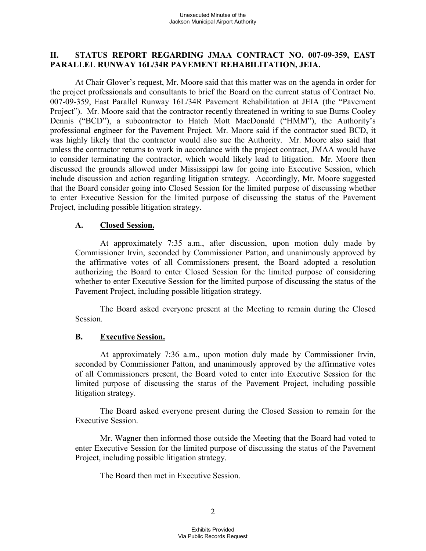### **II. STATUS REPORT REGARDING JMAA CONTRACT NO. 007-09-359, EAST PARALLEL RUNWAY 16L/34R PAVEMENT REHABILITATION, JEIA.**

At Chair Glover's request, Mr. Moore said that this matter was on the agenda in order for the project professionals and consultants to brief the Board on the current status of Contract No. 007-09-359, East Parallel Runway 16L/34R Pavement Rehabilitation at JEIA (the "Pavement Project"). Mr. Moore said that the contractor recently threatened in writing to sue Burns Cooley Dennis ("BCD"), a subcontractor to Hatch Mott MacDonald ("HMM"), the Authority's professional engineer for the Pavement Project. Mr. Moore said if the contractor sued BCD, it was highly likely that the contractor would also sue the Authority. Mr. Moore also said that unless the contractor returns to work in accordance with the project contract, JMAA would have to consider terminating the contractor, which would likely lead to litigation. Mr. Moore then discussed the grounds allowed under Mississippi law for going into Executive Session, which include discussion and action regarding litigation strategy. Accordingly, Mr. Moore suggested that the Board consider going into Closed Session for the limited purpose of discussing whether to enter Executive Session for the limited purpose of discussing the status of the Pavement Project, including possible litigation strategy.

#### **A. Closed Session.**

At approximately 7:35 a.m., after discussion, upon motion duly made by Commissioner Irvin, seconded by Commissioner Patton, and unanimously approved by the affirmative votes of all Commissioners present, the Board adopted a resolution authorizing the Board to enter Closed Session for the limited purpose of considering whether to enter Executive Session for the limited purpose of discussing the status of the Pavement Project, including possible litigation strategy.

The Board asked everyone present at the Meeting to remain during the Closed Session.

# **B. Executive Session.**

At approximately 7:36 a.m., upon motion duly made by Commissioner Irvin, seconded by Commissioner Patton, and unanimously approved by the affirmative votes of all Commissioners present, the Board voted to enter into Executive Session for the limited purpose of discussing the status of the Pavement Project, including possible litigation strategy.

The Board asked everyone present during the Closed Session to remain for the Executive Session.

Mr. Wagner then informed those outside the Meeting that the Board had voted to enter Executive Session for the limited purpose of discussing the status of the Pavement Project, including possible litigation strategy.

The Board then met in Executive Session.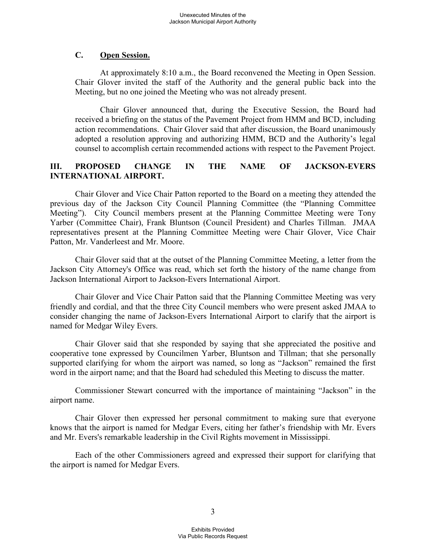### **C. Open Session.**

At approximately 8:10 a.m., the Board reconvened the Meeting in Open Session. Chair Glover invited the staff of the Authority and the general public back into the Meeting, but no one joined the Meeting who was not already present.

Chair Glover announced that, during the Executive Session, the Board had received a briefing on the status of the Pavement Project from HMM and BCD, including action recommendations. Chair Glover said that after discussion, the Board unanimously adopted a resolution approving and authorizing HMM, BCD and the Authority's legal counsel to accomplish certain recommended actions with respect to the Pavement Project.

# **III. PROPOSED CHANGE IN THE NAME OF JACKSON-EVERS INTERNATIONAL AIRPORT.**

Chair Glover and Vice Chair Patton reported to the Board on a meeting they attended the previous day of the Jackson City Council Planning Committee (the "Planning Committee Meeting"). City Council members present at the Planning Committee Meeting were Tony Yarber (Committee Chair), Frank Bluntson (Council President) and Charles Tillman. JMAA representatives present at the Planning Committee Meeting were Chair Glover, Vice Chair Patton, Mr. Vanderleest and Mr. Moore.

Chair Glover said that at the outset of the Planning Committee Meeting, a letter from the Jackson City Attorney's Office was read, which set forth the history of the name change from Jackson International Airport to Jackson-Evers International Airport.

Chair Glover and Vice Chair Patton said that the Planning Committee Meeting was very friendly and cordial, and that the three City Council members who were present asked JMAA to consider changing the name of Jackson-Evers International Airport to clarify that the airport is named for Medgar Wiley Evers.

Chair Glover said that she responded by saying that she appreciated the positive and cooperative tone expressed by Councilmen Yarber, Bluntson and Tillman; that she personally supported clarifying for whom the airport was named, so long as "Jackson" remained the first word in the airport name; and that the Board had scheduled this Meeting to discuss the matter.

Commissioner Stewart concurred with the importance of maintaining "Jackson" in the airport name.

Chair Glover then expressed her personal commitment to making sure that everyone knows that the airport is named for Medgar Evers, citing her father's friendship with Mr. Evers and Mr. Evers's remarkable leadership in the Civil Rights movement in Mississippi.

Each of the other Commissioners agreed and expressed their support for clarifying that the airport is named for Medgar Evers.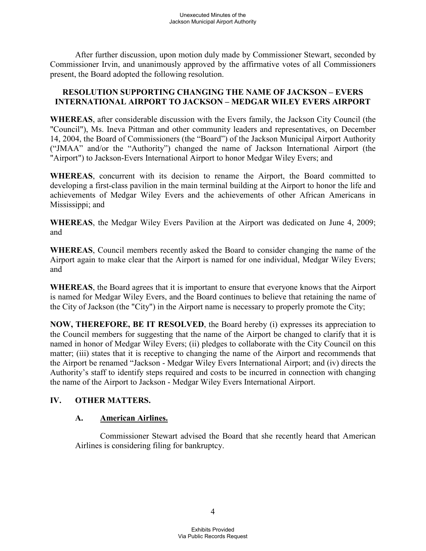After further discussion, upon motion duly made by Commissioner Stewart, seconded by Commissioner Irvin, and unanimously approved by the affirmative votes of all Commissioners present, the Board adopted the following resolution.

### **RESOLUTION SUPPORTING CHANGING THE NAME OF JACKSON – EVERS INTERNATIONAL AIRPORT TO JACKSON – MEDGAR WILEY EVERS AIRPORT**

**WHEREAS**, after considerable discussion with the Evers family, the Jackson City Council (the "Council"), Ms. Ineva Pittman and other community leaders and representatives, on December 14, 2004, the Board of Commissioners (the "Board") of the Jackson Municipal Airport Authority ("JMAA" and/or the "Authority") changed the name of Jackson International Airport (the "Airport") to Jackson-Evers International Airport to honor Medgar Wiley Evers; and

**WHEREAS**, concurrent with its decision to rename the Airport, the Board committed to developing a first-class pavilion in the main terminal building at the Airport to honor the life and achievements of Medgar Wiley Evers and the achievements of other African Americans in Mississippi; and

**WHEREAS**, the Medgar Wiley Evers Pavilion at the Airport was dedicated on June 4, 2009; and

**WHEREAS**, Council members recently asked the Board to consider changing the name of the Airport again to make clear that the Airport is named for one individual, Medgar Wiley Evers; and

**WHEREAS**, the Board agrees that it is important to ensure that everyone knows that the Airport is named for Medgar Wiley Evers, and the Board continues to believe that retaining the name of the City of Jackson (the "City") in the Airport name is necessary to properly promote the City;

**NOW, THEREFORE, BE IT RESOLVED**, the Board hereby (i) expresses its appreciation to the Council members for suggesting that the name of the Airport be changed to clarify that it is named in honor of Medgar Wiley Evers; (ii) pledges to collaborate with the City Council on this matter; (iii) states that it is receptive to changing the name of the Airport and recommends that the Airport be renamed "Jackson - Medgar Wiley Evers International Airport; and (iv) directs the Authority's staff to identify steps required and costs to be incurred in connection with changing the name of the Airport to Jackson - Medgar Wiley Evers International Airport.

# **IV. OTHER MATTERS.**

# **A. American Airlines.**

Commissioner Stewart advised the Board that she recently heard that American Airlines is considering filing for bankruptcy.